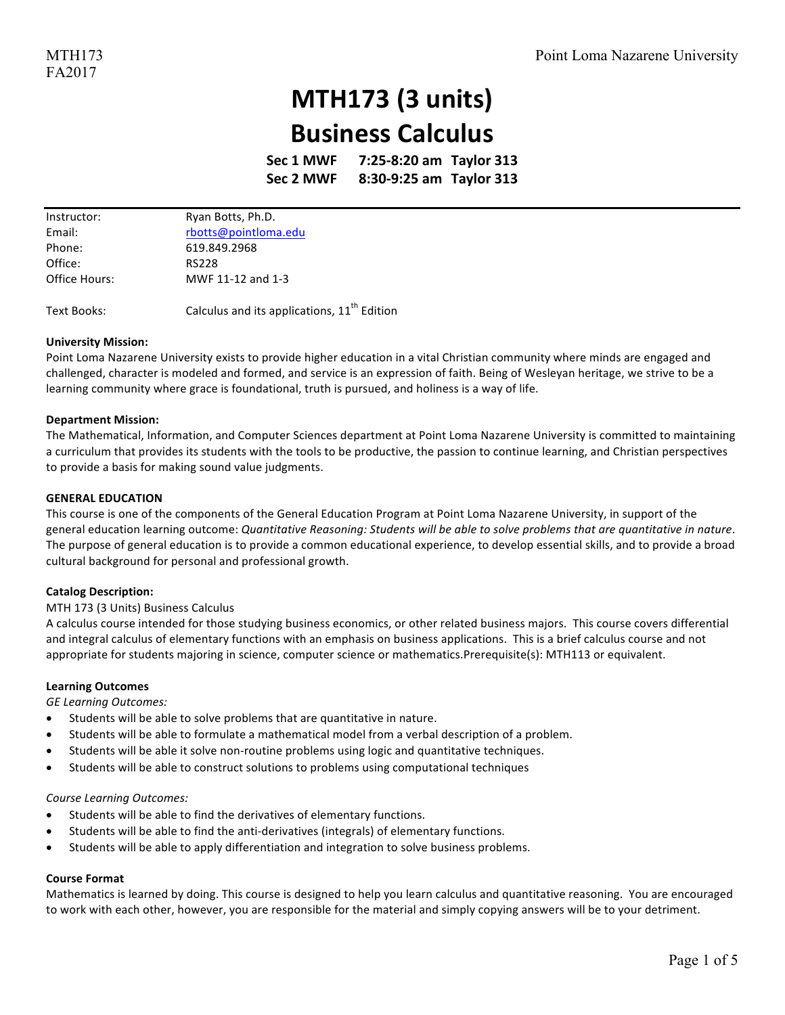## **MTH173 (3 units) Business Calculus**

**Sec 1 MWF 7:25-8:20 am Taylor 313 Sec 2 MWF 8:30-9:25 am Taylor 313**

| Instructor:   | Ryan Botts, Ph.D.    |
|---------------|----------------------|
| Email:        | rbotts@pointloma.edu |
| Phone:        | 619.849.2968         |
| Office:       | <b>RS228</b>         |
| Office Hours: | MWF 11-12 and 1-3    |

Text Books: Calculus and its applications,  $11^{th}$  Edition

#### **University Mission:**

Point Loma Nazarene University exists to provide higher education in a vital Christian community where minds are engaged and challenged, character is modeled and formed, and service is an expression of faith. Being of Wesleyan heritage, we strive to be a learning community where grace is foundational, truth is pursued, and holiness is a way of life.

#### **Department Mission:**

The Mathematical, Information, and Computer Sciences department at Point Loma Nazarene University is committed to maintaining a curriculum that provides its students with the tools to be productive, the passion to continue learning, and Christian perspectives to provide a basis for making sound value judgments.

#### **GENERAL EDUCATION**

This course is one of the components of the General Education Program at Point Loma Nazarene University, in support of the general education learning outcome: Quantitative Reasoning: Students will be able to solve problems that are quantitative in nature. The purpose of general education is to provide a common educational experience, to develop essential skills, and to provide a broad cultural background for personal and professional growth.

#### **Catalog Description:**

#### MTH 173 (3 Units) Business Calculus

A calculus course intended for those studying business economics, or other related business majors. This course covers differential and integral calculus of elementary functions with an emphasis on business applications. This is a brief calculus course and not appropriate for students majoring in science, computer science or mathematics.Prerequisite(s): MTH113 or equivalent.

#### **Learning Outcomes**

*GE Learning Outcomes:* 

- Students will be able to solve problems that are quantitative in nature.
- Students will be able to formulate a mathematical model from a verbal description of a problem.
- Students will be able it solve non-routine problems using logic and quantitative techniques.
- Students will be able to construct solutions to problems using computational techniques

#### *Course Learning Outcomes:*

- Students will be able to find the derivatives of elementary functions.
- Students will be able to find the anti-derivatives (integrals) of elementary functions.
- Students will be able to apply differentiation and integration to solve business problems.

#### **Course Format**

Mathematics is learned by doing. This course is designed to help you learn calculus and quantitative reasoning. You are encouraged to work with each other, however, you are responsible for the material and simply copying answers will be to your detriment.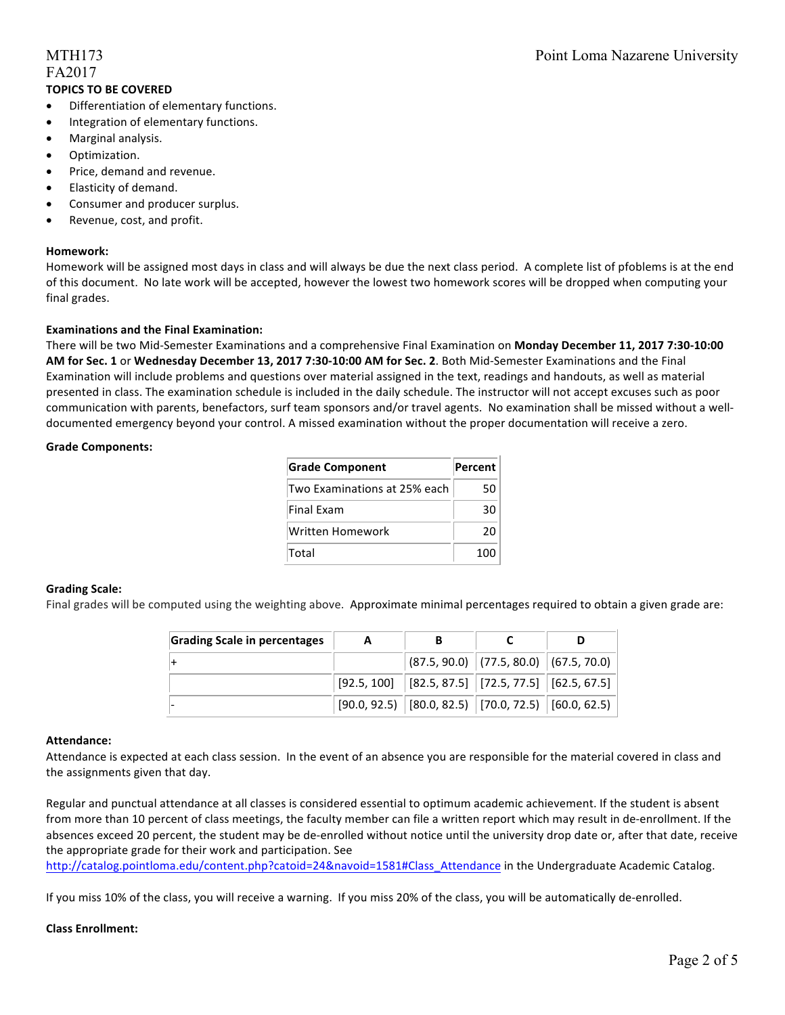### FA2017 **TOPICS TO BE COVERED**

#### • Differentiation of elementary functions.

- Integration of elementary functions.
- Marginal analysis.
- Optimization.
- Price, demand and revenue.
- Elasticity of demand.
- Consumer and producer surplus.
- Revenue, cost, and profit.

#### **Homework:**

Homework will be assigned most days in class and will always be due the next class period. A complete list of pfoblems is at the end of this document. No late work will be accepted, however the lowest two homework scores will be dropped when computing your final grades.

#### **Examinations and the Final Examination:**

There will be two Mid-Semester Examinations and a comprehensive Final Examination on Monday December 11, 2017 7:30-10:00 **AM** for Sec. 1 or Wednesday December 13, 2017 7:30-10:00 AM for Sec. 2. Both Mid-Semester Examinations and the Final Examination will include problems and questions over material assigned in the text, readings and handouts, as well as material presented in class. The examination schedule is included in the daily schedule. The instructor will not accept excuses such as poor communication with parents, benefactors, surf team sponsors and/or travel agents. No examination shall be missed without a welldocumented emergency beyond your control. A missed examination without the proper documentation will receive a zero.

#### **Grade Components:**

| <b>Grade Component</b>       | <b>Percent</b> |  |
|------------------------------|----------------|--|
| Two Examinations at 25% each | 50.            |  |
| <b>Final Fxam</b>            | 30             |  |
| Written Homework             | 20             |  |
| <b>Total</b>                 | 100            |  |

#### **Grading Scale:**

Final grades will be computed using the weighting above. Approximate minimal percentages required to obtain a given grade are:

| <b>Grading Scale in percentages</b> |                                                                                     |  |  |
|-------------------------------------|-------------------------------------------------------------------------------------|--|--|
|                                     | $ (87.5, 90.0)$ $ (77.5, 80.0)$ $ (67.5, 70.0)$                                     |  |  |
|                                     | $\vert$ [92.5, 100] $\vert$ [82.5, 87.5] $\vert$ [72.5, 77.5] $\vert$ [62.5, 67.5]  |  |  |
|                                     | $\vert$ [90.0, 92.5) $\vert$ [80.0, 82.5) $\vert$ [70.0, 72.5) $\vert$ [60.0, 62.5) |  |  |

#### **Attendance:**

Attendance is expected at each class session. In the event of an absence you are responsible for the material covered in class and the assignments given that day.

Regular and punctual attendance at all classes is considered essential to optimum academic achievement. If the student is absent from more than 10 percent of class meetings, the faculty member can file a written report which may result in de-enrollment. If the absences exceed 20 percent, the student may be de-enrolled without notice until the university drop date or, after that date, receive the appropriate grade for their work and participation. See

http://catalog.pointloma.edu/content.php?catoid=24&navoid=1581#Class Attendance in the Undergraduate Academic Catalog.

If you miss 10% of the class, you will receive a warning. If you miss 20% of the class, you will be automatically de-enrolled.

#### **Class Enrollment:**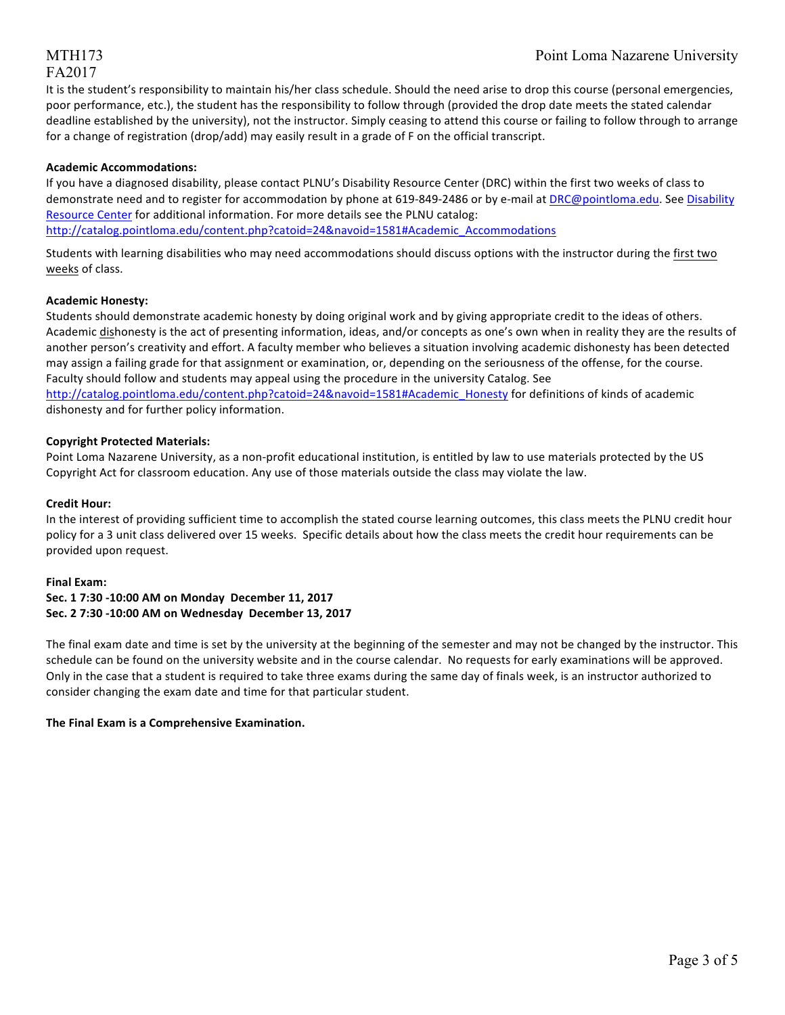# FA2017

It is the student's responsibility to maintain his/her class schedule. Should the need arise to drop this course (personal emergencies, poor performance, etc.), the student has the responsibility to follow through (provided the drop date meets the stated calendar deadline established by the university), not the instructor. Simply ceasing to attend this course or failing to follow through to arrange for a change of registration (drop/add) may easily result in a grade of F on the official transcript.

#### **Academic Accommodations:**

If you have a diagnosed disability, please contact PLNU's Disability Resource Center (DRC) within the first two weeks of class to demonstrate need and to register for accommodation by phone at 619-849-2486 or by e-mail at DRC@pointloma.edu. See Disability Resource Center for additional information. For more details see the PLNU catalog: http://catalog.pointloma.edu/content.php?catoid=24&navoid=1581#Academic\_Accommodations 

Students with learning disabilities who may need accommodations should discuss options with the instructor during the first two weeks of class.

#### **Academic Honesty:**

Students should demonstrate academic honesty by doing original work and by giving appropriate credit to the ideas of others. Academic dishonesty is the act of presenting information, ideas, and/or concepts as one's own when in reality they are the results of another person's creativity and effort. A faculty member who believes a situation involving academic dishonesty has been detected may assign a failing grade for that assignment or examination, or, depending on the seriousness of the offense, for the course. Faculty should follow and students may appeal using the procedure in the university Catalog. See http://catalog.pointloma.edu/content.php?catoid=24&navoid=1581#Academic\_Honesty for definitions of kinds of academic

dishonesty and for further policy information.

#### **Copyright Protected Materials:**

Point Loma Nazarene University, as a non-profit educational institution, is entitled by law to use materials protected by the US Copyright Act for classroom education. Any use of those materials outside the class may violate the law.

#### **Credit Hour:**

In the interest of providing sufficient time to accomplish the stated course learning outcomes, this class meets the PLNU credit hour policy for a 3 unit class delivered over 15 weeks. Specific details about how the class meets the credit hour requirements can be provided upon request.

#### **Final Exam:**

#### **Sec. 1 7:30 -10:00 AM on Monday December 11, 2017 Sec. 2 7:30 -10:00 AM on Wednesday December 13, 2017**

The final exam date and time is set by the university at the beginning of the semester and may not be changed by the instructor. This schedule can be found on the university website and in the course calendar. No requests for early examinations will be approved. Only in the case that a student is required to take three exams during the same day of finals week, is an instructor authorized to consider changing the exam date and time for that particular student.

#### **The Final Exam is a Comprehensive Examination.**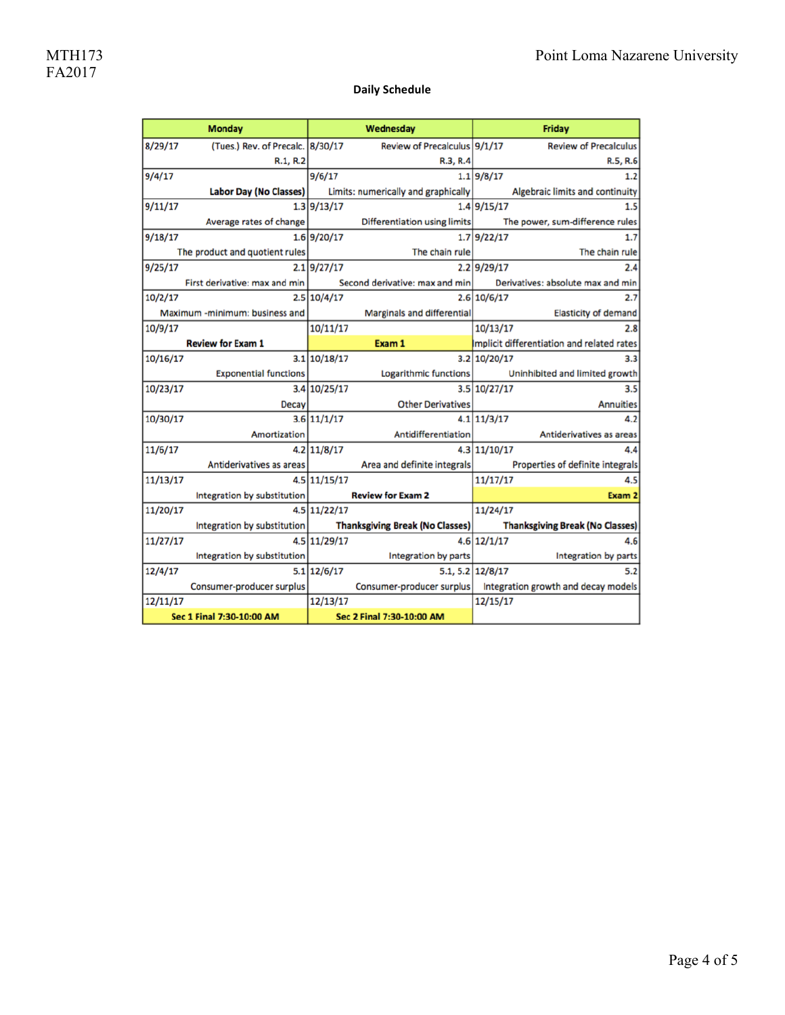#### **Daily Schedule**

| <b>Monday</b>             |                                  | Wednesday     |                                        | Friday                                 |                                                                 |
|---------------------------|----------------------------------|---------------|----------------------------------------|----------------------------------------|-----------------------------------------------------------------|
| 8/29/17                   | (Tues.) Rev. of Precalc. 8/30/17 |               | Review of Precalculus 9/1/17           |                                        | <b>Review of Precalculus</b>                                    |
|                           | R.1, R.2                         |               | R.3, R.4                               |                                        | R.5, R.6                                                        |
| 9/4/17                    |                                  | 9/6/17        |                                        | 1.1 9/8/17                             | 1.2                                                             |
|                           | Labor Day (No Classes)           |               | Limits: numerically and graphically    |                                        | Algebraic limits and continuity                                 |
| 9/11/17                   |                                  | 1.3 9/13/17   |                                        | 1.4 9/15/17                            | 1.5                                                             |
|                           | Average rates of change          |               | Differentiation using limits           |                                        | The power, sum-difference rules                                 |
| 9/18/17                   |                                  | 1.6 9/20/17   |                                        | 1.7 9/22/17                            | 1.7 <sup>1</sup>                                                |
|                           | The product and quotient rules   |               | The chain rule                         |                                        | The chain rule                                                  |
| 9/25/17                   |                                  | $2.1$ 9/27/17 |                                        | 2.2 9/29/17                            | 2.4                                                             |
|                           | First derivative: max and min    |               | Second derivative: max and min         |                                        | Derivatives: absolute max and min                               |
| 10/2/17                   |                                  | 2.5 10/4/17   |                                        | 2.6 10/6/17                            | 2.7 <sup>1</sup>                                                |
|                           | Maximum -minimum: business and   |               | Marginals and differential             |                                        | Elasticity of demand                                            |
| 10/9/17                   |                                  | 10/11/17      |                                        | 10/13/17                               | 2.8                                                             |
|                           | <b>Review for Exam 1</b>         |               | Exam 1                                 |                                        | Implicit differentiation and related rates                      |
| 10/16/17                  |                                  | 3.1 10/18/17  |                                        | 3.2 10/20/17                           | 3.3                                                             |
|                           | <b>Exponential functions</b>     |               | Logarithmic functions                  |                                        | Uninhibited and limited growth                                  |
| 10/23/17                  |                                  | 3.4 10/25/17  |                                        | 3.5 10/27/17                           | 3.5 <sub>1</sub>                                                |
|                           | <b>Decay</b>                     |               | <b>Other Derivatives</b>               |                                        | <b>Annuities</b>                                                |
| 10/30/17                  |                                  | 3.6 11/1/17   |                                        | $4.1 \mid 11/3/17$                     | 4.2                                                             |
|                           | Amortization                     |               | <b>Antidifferentiation</b>             |                                        | Antiderivatives as areas                                        |
| 11/6/17                   |                                  | $4.2$ 11/8/17 |                                        | 4.3 11/10/17                           | 4.4                                                             |
|                           | Antiderivatives as areas         |               | Area and definite integrals            | Properties of definite integrals       |                                                                 |
| 11/13/17                  |                                  | 4.5 11/15/17  |                                        | 11/17/17                               | 4.5                                                             |
|                           | Integration by substitution      |               | <b>Review for Exam 2</b>               | Exam 2                                 |                                                                 |
| 11/20/17                  |                                  | 4.5 11/22/17  |                                        | 11/24/17                               |                                                                 |
|                           | Integration by substitution      |               | <b>Thanksgiving Break (No Classes)</b> | <b>Thanksgiving Break (No Classes)</b> |                                                                 |
| 11/27/17                  |                                  | 4.5 11/29/17  |                                        | $4.6$ 12/1/17                          | 4.6                                                             |
|                           | Integration by substitution      |               | Integration by parts                   |                                        | Integration by parts                                            |
| 12/4/17                   |                                  | $5.1$ 12/6/17 |                                        | 5.1.5.2 12/8/17                        | 5.2                                                             |
|                           | Consumer-producer surplus        |               |                                        |                                        | Consumer-producer surplus   Integration growth and decay models |
| 12/11/17                  |                                  | 12/13/17      |                                        | 12/15/17                               |                                                                 |
| Sec 1 Final 7:30-10:00 AM |                                  |               | Sec 2 Final 7:30-10:00 AM              |                                        |                                                                 |